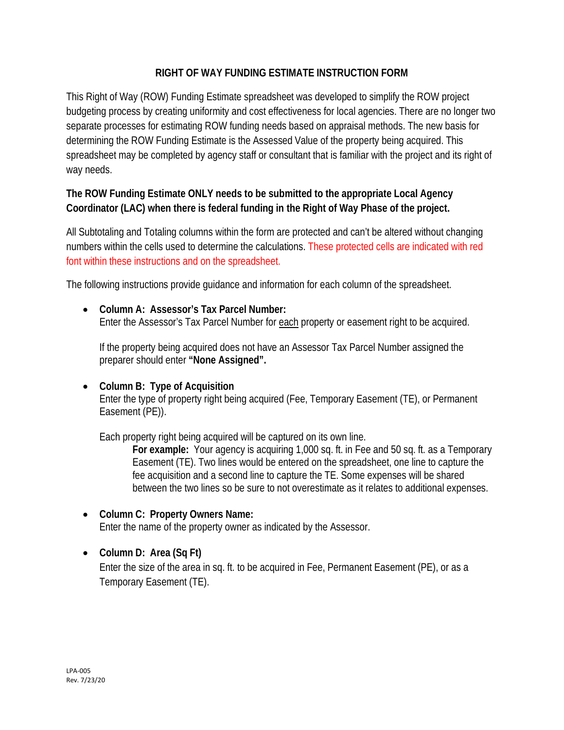### **RIGHT OF WAY FUNDING ESTIMATE INSTRUCTION FORM**

This Right of Way (ROW) Funding Estimate spreadsheet was developed to simplify the ROW project budgeting process by creating uniformity and cost effectiveness for local agencies. There are no longer two separate processes for estimating ROW funding needs based on appraisal methods. The new basis for determining the ROW Funding Estimate is the Assessed Value of the property being acquired. This spreadsheet may be completed by agency staff or consultant that is familiar with the project and its right of way needs.

## **The ROW Funding Estimate ONLY needs to be submitted to the appropriate Local Agency Coordinator (LAC) when there is federal funding in the Right of Way Phase of the project.**

All Subtotaling and Totaling columns within the form are protected and can't be altered without changing numbers within the cells used to determine the calculations. These protected cells are indicated with red font within these instructions and on the spreadsheet.

The following instructions provide guidance and information for each column of the spreadsheet.

### • **Column A: Assessor's Tax Parcel Number:**

Enter the Assessor's Tax Parcel Number for each property or easement right to be acquired.

If the property being acquired does not have an Assessor Tax Parcel Number assigned the preparer should enter **"None Assigned".**

### • **Column B: Type of Acquisition**

Enter the type of property right being acquired (Fee, Temporary Easement (TE), or Permanent Easement (PE)).

Each property right being acquired will be captured on its own line.

**For example:** Your agency is acquiring 1,000 sq. ft. in Fee and 50 sq. ft. as a Temporary Easement (TE). Two lines would be entered on the spreadsheet, one line to capture the fee acquisition and a second line to capture the TE. Some expenses will be shared between the two lines so be sure to not overestimate as it relates to additional expenses.

• **Column C: Property Owners Name:** Enter the name of the property owner as indicated by the Assessor.

## • **Column D: Area (Sq Ft)**

Enter the size of the area in sq. ft. to be acquired in Fee, Permanent Easement (PE), or as a Temporary Easement (TE).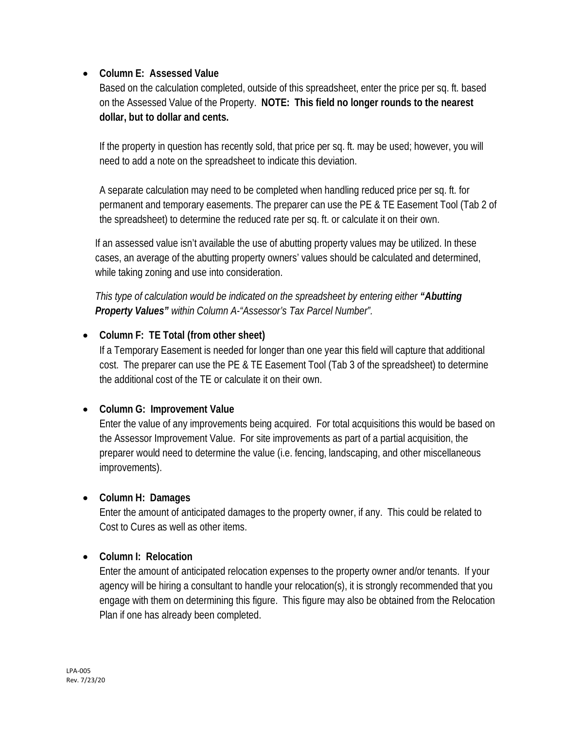## • **Column E: Assessed Value**

Based on the calculation completed, outside of this spreadsheet, enter the price per sq. ft. based on the Assessed Value of the Property. **NOTE: This field no longer rounds to the nearest dollar, but to dollar and cents.**

If the property in question has recently sold, that price per sq. ft. may be used; however, you will need to add a note on the spreadsheet to indicate this deviation.

A separate calculation may need to be completed when handling reduced price per sq. ft. for permanent and temporary easements. The preparer can use the PE & TE Easement Tool (Tab 2 of the spreadsheet) to determine the reduced rate per sq. ft. or calculate it on their own.

If an assessed value isn't available the use of abutting property values may be utilized. In these cases, an average of the abutting property owners' values should be calculated and determined, while taking zoning and use into consideration.

*This type of calculation would be indicated on the spreadsheet by entering either "Abutting Property Values" within Column A-"Assessor's Tax Parcel Number".*

## • **Column F: TE Total (from other sheet)**

If a Temporary Easement is needed for longer than one year this field will capture that additional cost. The preparer can use the PE & TE Easement Tool (Tab 3 of the spreadsheet) to determine the additional cost of the TE or calculate it on their own.

## • **Column G: Improvement Value**

Enter the value of any improvements being acquired. For total acquisitions this would be based on the Assessor Improvement Value. For site improvements as part of a partial acquisition, the preparer would need to determine the value (i.e. fencing, landscaping, and other miscellaneous improvements).

### • **Column H: Damages**

Enter the amount of anticipated damages to the property owner, if any. This could be related to Cost to Cures as well as other items.

## • **Column I: Relocation**

Enter the amount of anticipated relocation expenses to the property owner and/or tenants. If your agency will be hiring a consultant to handle your relocation(s), it is strongly recommended that you engage with them on determining this figure. This figure may also be obtained from the Relocation Plan if one has already been completed.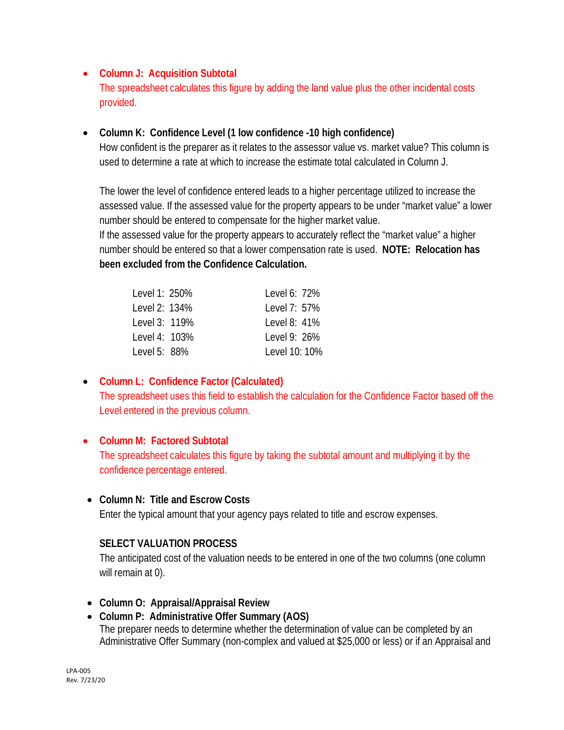## • **Column J: Acquisition Subtotal**

The spreadsheet calculates this figure by adding the land value plus the other incidental costs provided.

### • **Column K: Confidence Level (1 low confidence -10 high confidence)**

How confident is the preparer as it relates to the assessor value vs. market value? This column is used to determine a rate at which to increase the estimate total calculated in Column J.

The lower the level of confidence entered leads to a higher percentage utilized to increase the assessed value. If the assessed value for the property appears to be under "market value" a lower number should be entered to compensate for the higher market value.

If the assessed value for the property appears to accurately reflect the "market value" a higher number should be entered so that a lower compensation rate is used. **NOTE: Relocation has been excluded from the Confidence Calculation.**

| Level 1: 250%   | Level 6: 72%    |
|-----------------|-----------------|
| Level 2: 134%   | Level 7: $57\%$ |
| Level 3: 119%   | Level 8: 41%    |
| Level 4: 103%   | Level 9: 26%    |
| $I$ evel 5: 88% | Level 10: 10%   |

### • **Column L: Confidence Factor (Calculated)**

The spreadsheet uses this field to establish the calculation for the Confidence Factor based off the Level entered in the previous column.

### • **Column M: Factored Subtotal**

The spreadsheet calculates this figure by taking the subtotal amount and multiplying it by the confidence percentage entered.

### • **Column N: Title and Escrow Costs**

Enter the typical amount that your agency pays related to title and escrow expenses.

### **SELECT VALUATION PROCESS**

The anticipated cost of the valuation needs to be entered in one of the two columns (one column will remain at 0).

### • **Column O: Appraisal/Appraisal Review**

#### • **Column P: Administrative Offer Summary (AOS)** The preparer needs to determine whether the determination of value can be completed by an Administrative Offer Summary (non-complex and valued at \$25,000 or less) or if an Appraisal and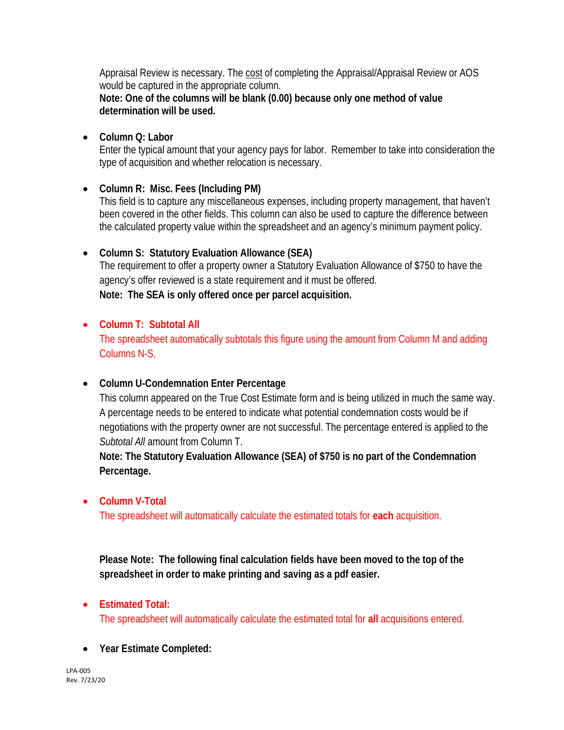Appraisal Review is necessary. The cost of completing the Appraisal/Appraisal Review or AOS would be captured in the appropriate column.

**Note: One of the columns will be blank (0.00) because only one method of value determination will be used.** 

• **Column Q: Labor**

Enter the typical amount that your agency pays for labor. Remember to take into consideration the type of acquisition and whether relocation is necessary.

## • **Column R: Misc. Fees (Including PM)**

This field is to capture any miscellaneous expenses, including property management, that haven't been covered in the other fields. This column can also be used to capture the difference between the calculated property value within the spreadsheet and an agency's minimum payment policy.

## • **Column S: Statutory Evaluation Allowance (SEA)**

The requirement to offer a property owner a Statutory Evaluation Allowance of \$750 to have the agency's offer reviewed is a state requirement and it must be offered. **Note: The SEA is only offered once per parcel acquisition.** 

## • **Column T: Subtotal All**

The spreadsheet automatically subtotals this figure using the amount from Column M and adding Columns N-S.

## • **Column U-Condemnation Enter Percentage**

This column appeared on the True Cost Estimate form and is being utilized in much the same way. A percentage needs to be entered to indicate what potential condemnation costs would be if negotiations with the property owner are not successful. The percentage entered is applied to the *Subtotal All* amount from Column T.

**Note: The Statutory Evaluation Allowance (SEA) of \$750 is no part of the Condemnation Percentage.** 

## • **Column V-Total**

The spreadsheet will automatically calculate the estimated totals for **each** acquisition.

**Please Note: The following final calculation fields have been moved to the top of the spreadsheet in order to make printing and saving as a pdf easier.**

# • **Estimated Total:**

The spreadsheet will automatically calculate the estimated total for **all** acquisitions entered.

# • **Year Estimate Completed:**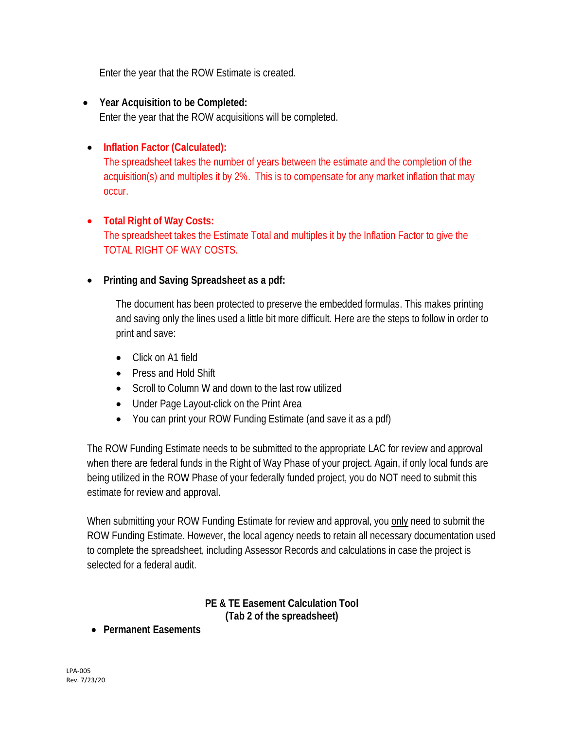Enter the year that the ROW Estimate is created.

# • **Year Acquisition to be Completed:**

Enter the year that the ROW acquisitions will be completed.

# • **Inflation Factor (Calculated):**

The spreadsheet takes the number of years between the estimate and the completion of the acquisition(s) and multiples it by 2%. This is to compensate for any market inflation that may occur.

# • **Total Right of Way Costs:**

The spreadsheet takes the Estimate Total and multiples it by the Inflation Factor to give the TOTAL RIGHT OF WAY COSTS.

# • **Printing and Saving Spreadsheet as a pdf:**

The document has been protected to preserve the embedded formulas. This makes printing and saving only the lines used a little bit more difficult. Here are the steps to follow in order to print and save:

- Click on A1 field
- Press and Hold Shift
- Scroll to Column W and down to the last row utilized
- Under Page Layout-click on the Print Area
- You can print your ROW Funding Estimate (and save it as a pdf)

The ROW Funding Estimate needs to be submitted to the appropriate LAC for review and approval when there are federal funds in the Right of Way Phase of your project. Again, if only local funds are being utilized in the ROW Phase of your federally funded project, you do NOT need to submit this estimate for review and approval.

When submitting your ROW Funding Estimate for review and approval, you only need to submit the ROW Funding Estimate. However, the local agency needs to retain all necessary documentation used to complete the spreadsheet, including Assessor Records and calculations in case the project is selected for a federal audit.

## **PE & TE Easement Calculation Tool (Tab 2 of the spreadsheet)**

• **Permanent Easements**